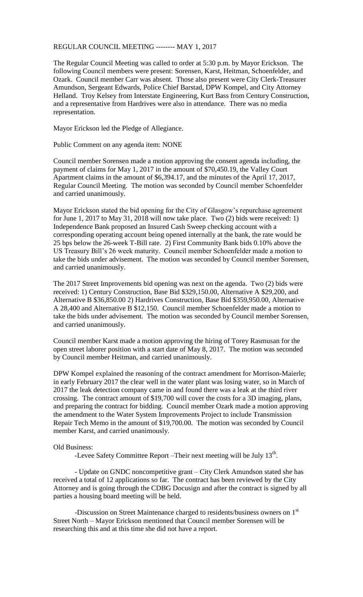## REGULAR COUNCIL MEETING -------- MAY 1, 2017

The Regular Council Meeting was called to order at 5:30 p.m. by Mayor Erickson. The following Council members were present: Sorensen, Karst, Heitman, Schoenfelder, and Ozark. Council member Carr was absent. Those also present were City Clerk-Treasurer Amundson, Sergeant Edwards, Police Chief Barstad, DPW Kompel, and City Attorney Helland. Troy Kelsey from Interstate Engineering, Kurt Bass from Century Construction, and a representative from Hardrives were also in attendance. There was no media representation.

Mayor Erickson led the Pledge of Allegiance.

Public Comment on any agenda item: NONE

Council member Sorensen made a motion approving the consent agenda including, the payment of claims for May 1, 2017 in the amount of \$70,450.19, the Valley Court Apartment claims in the amount of \$6,394.17, and the minutes of the April 17, 2017, Regular Council Meeting. The motion was seconded by Council member Schoenfelder and carried unanimously.

Mayor Erickson stated the bid opening for the City of Glasgow's repurchase agreement for June 1, 2017 to May 31, 2018 will now take place. Two (2) bids were received: 1) Independence Bank proposed an Insured Cash Sweep checking account with a corresponding operating account being opened internally at the bank, the rate would be 25 bps below the 26-week T-Bill rate. 2) First Community Bank bids 0.10% above the US Treasury Bill's 26 week maturity. Council member Schoenfelder made a motion to take the bids under advisement. The motion was seconded by Council member Sorensen, and carried unanimously.

The 2017 Street Improvements bid opening was next on the agenda. Two (2) bids were received: 1) Century Construction, Base Bid \$329,150.00, Alternative A \$29,200, and Alternative B \$36,850.00 2) Hardrives Construction, Base Bid \$359,950.00, Alternative A 28,400 and Alternative B \$12,150. Council member Schoenfelder made a motion to take the bids under advisement. The motion was seconded by Council member Sorensen, and carried unanimously.

Council member Karst made a motion approving the hiring of Torey Rasmusan for the open street laborer position with a start date of May 8, 2017. The motion was seconded by Council member Heitman, and carried unanimously.

DPW Kompel explained the reasoning of the contract amendment for Morrison-Maierle; in early February 2017 the clear well in the water plant was losing water, so in March of 2017 the leak detection company came in and found there was a leak at the third river crossing. The contract amount of \$19,700 will cover the costs for a 3D imaging, plans, and preparing the contract for bidding. Council member Ozark made a motion approving the amendment to the Water System Improvements Project to include Transmission Repair Tech Memo in the amount of \$19,700.00. The motion was seconded by Council member Karst, and carried unanimously.

## Old Business:

-Levee Safety Committee Report  $-$ Their next meeting will be July  $13<sup>th</sup>$ .

- Update on GNDC noncompetitive grant – City Clerk Amundson stated she has received a total of 12 applications so far. The contract has been reviewed by the City Attorney and is going through the CDBG Docusign and after the contract is signed by all parties a housing board meeting will be held.

-Discussion on Street Maintenance charged to residents/business owners on 1st Street North – Mayor Erickson mentioned that Council member Sorensen will be researching this and at this time she did not have a report.